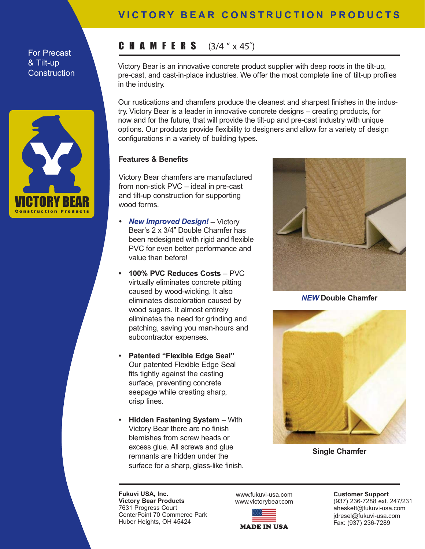## For Precast & Tilt-up **Construction**



## **VICTORY BEAR CONSTRUCTION PRODUCTS**

# CHAMFERS **(3/4 " x 45˚)**

Victory Bear is an innovative concrete product supplier with deep roots in the tilt-up, pre-cast, and cast-in-place industries. We offer the most complete line of tilt-up profiles in the industry.

Our rustications and chamfers produce the cleanest and sharpest finishes in the industry. Victory Bear is a leader in innovative concrete designs – creating products, for now and for the future, that will provide the tilt-up and pre-cast industry with unique options. Our products provide flexibility to designers and allow for a variety of design configurations in a variety of building types.

### **Features & Benefits**

Victory Bear chamfers are manufactured from non-stick PVC – ideal in pre-cast and tilt-up construction for supporting wood forms.

- *• New Improved Design!* Victory Bear's 2 x 3/4" Double Chamfer has been redesigned with rigid and flexible PVC for even better performance and value than before!
- **100% PVC Reduces Costs** PVC virtually eliminates concrete pitting caused by wood-wicking. It also eliminates discoloration caused by wood sugars. It almost entirely eliminates the need for grinding and patching, saving you man-hours and subcontractor expenses.
- **Patented "Flexible Edge Seal"** Our patented Flexible Edge Seal fits tightly against the casting surface, preventing concrete seepage while creating sharp, crisp lines.
- **Hidden Fastening System** With Victory Bear there are no finish blemishes from screw heads or excess glue. All screws and glue remnants are hidden under the surface for a sharp, glass-like finish.



*NEW* **Double Chamfer**



**Single Chamfer**

**Fukuvi USA, Inc. Victory Bear Products** 7631 Progress Court CenterPoint 70 Commerce Park Huber Heights, OH 45424

www.fukuvi-usa.com www.victorybear.com



**Customer Support** (937) 236-7288 ext. 247/231 aheskett@fukuvi-usa.com jdresel@fukuvi-usa.com Fax: (937) 236-7289